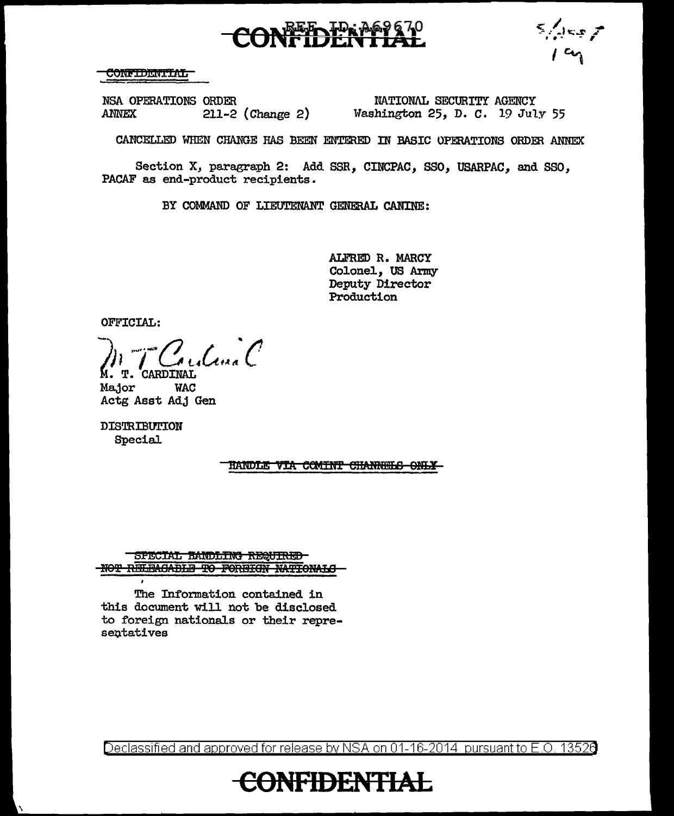$\frac{1}{2}$ 

## **CONFIDENTIAL**

NSA OPERATIONS ORDER **ANNEX**  $211-2$  (Change 2)

NATIONAL SECURITY AGENCY Washington 25, D. C. 19 July 55

CANCELLED WHEN CHANGE HAS BEEN ENTERED IN BASIC OPERATIONS ORDER ANNEX

Section X, paragraph 2: Add SSR, CINCPAC, SSO, USARPAC, and SSO, PACAF as end-product recipients.

BY COMMAND OF LIEUTENANT GENERAL CANINE:

ALFRED R. MARCY Colonel, US Army Deputy Director **Production** 

OFFICIAL:

Como C T. CARDINAL

Ma.jor **WAC** Actg Asst Adj Gen

DISTRIBUTION **Special** 

HANDLE VIA COMINT CHANNELS ONLY

SPECIAL HANDLING REQUIRED NOT RELEAGABLE TO FOREIGN NATIONALS

The Information contained in this document will not be disclosed to foreign nationals or their representatives

Declassified and approved for release by NSA on 01-16-2014 pursuant to E.O. 13526

**IFIDENTIAL**